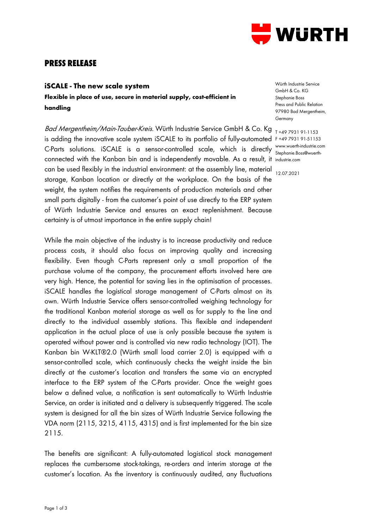

## **PRESS RELEASE**

## **iSCALE - The new scale system**

**Flexible in place of use, secure in material supply, cost-efficient in handling** 

Ba*d Mergentheim/Main-Tauber-Kreis.* Würth Industrie Service GmbH & Co. Kg <sub>T+49 7931 91-1153</sub> is adding the innovative scale system iSCALE to its portfolio of fully-automated F +49 7931 91-51153 C-Parts solutions. iSCALE is a sensor-controlled scale, which is directly www.wuerth-industrie.com connected with the Kanban bin and is independently movable. As a result, it industrie.com can be used flexibly in the industrial environment: at the assembly line, material storage, Kanban location or directly at the workplace. On the basis of the weight, the system notifies the requirements of production materials and other small parts digitally - from the customer's point of use directly to the ERP system of Würth Industrie Service and ensures an exact replenishment. Because certainty is of utmost importance in the entire supply chain!

While the main objective of the industry is to increase productivity and reduce process costs, it should also focus on improving quality and increasing flexibility. Even though C-Parts represent only a small proportion of the purchase volume of the company, the procurement efforts involved here are very high. Hence, the potential for saving lies in the optimisation of processes. iSCALE handles the logistical storage management of C-Parts almost on its own. Würth Industrie Service offers sensor-controlled weighing technology for the traditional Kanban material storage as well as for supply to the line and directly to the individual assembly stations. This flexible and independent application in the actual place of use is only possible because the system is operated without power and is controlled via new radio technology (IOT). The Kanban bin W-KLT®2.0 (Würth small load carrier 2.0) is equipped with a sensor-controlled scale, which continuously checks the weight inside the bin directly at the customer's location and transfers the same via an encrypted interface to the ERP system of the C-Parts provider. Once the weight goes below a defined value, a notification is sent automatically to Würth Industrie Service, an order is initiated and a delivery is subsequently triggered. The scale system is designed for all the bin sizes of Würth Industrie Service following the VDA norm (2115, 3215, 4115, 4315) and is first implemented for the bin size 2115.

The benefits are significant: A fully-automated logistical stock management replaces the cumbersome stock-takings, re-orders and interim storage at the customer's location. As the inventory is continuously audited, any fluctuations

Würth Industrie Service GmbH & Co. KG Stephanie Boss Press and Public Relation 97980 Bad Mergentheim, Germany

Stephanie.Boss@wuerth-

12.07.2021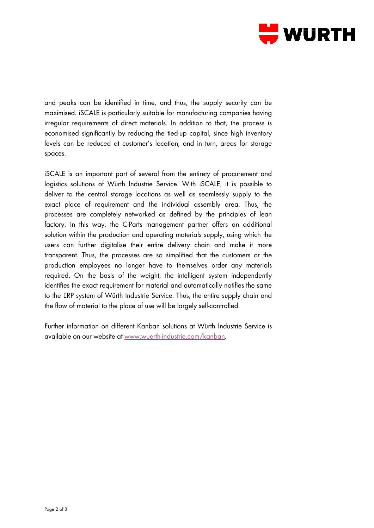

and peaks can be identified in time, and thus, the supply security can be maximised. iSCALE is particularly suitable for manufacturing companies having irregular requirements of direct materials. In addition to that, the process is economised significantly by reducing the tied-up capital, since high inventory levels can be reduced at customer's location, and in turn, areas for storage spaces.

iSCALE is an important part of several from the entirety of procurement and logistics solutions of Würth Industrie Service. With iSCALE, it is possible to deliver to the central storage locations as well as seamlessly supply to the exact place of requirement and the individual assembly area. Thus, the processes are completely networked as defined by the principles of lean factory. In this way, the C-Parts management partner offers an additional solution within the production and operating materials supply, using which the users can further digitalise their entire delivery chain and make it more transparent. Thus, the processes are so simplified that the customers or the production employees no longer have to themselves order any materials required. On the basis of the weight, the intelligent system independently identifies the exact requirement for material and automatically notifies the same to the ERP system of Würth Industrie Service. Thus, the entire supply chain and the flow of material to the place of use will be largely self-controlled.

Further information on different Kanban solutions at Würth Industrie Service is available on our website at [www.wuerth-industrie.com/kanban.](http://www.wuerth-industrie.com/kanban)